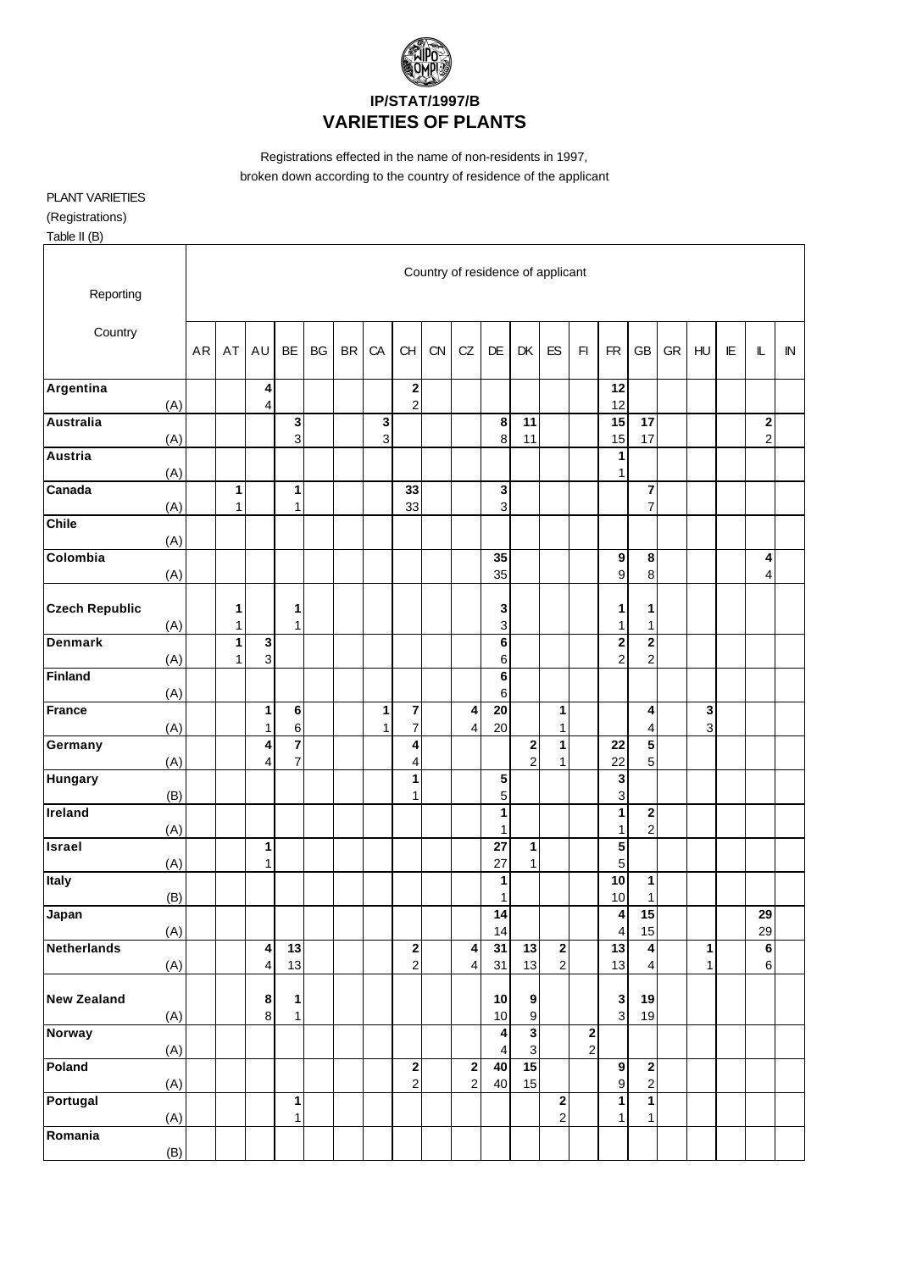

Registrations effected in the name of non-residents in 1997, broken down according to the country of residence of the applicant

## PLANT VARIETIES

(Registrations)

Table II (B)

| Reporting             |     | Country of residence of applicant |        |                   |                                           |           |           |                   |                                  |           |                                           |                                                 |                                        |                                  |               |                                |                                           |    |                  |   |                            |              |
|-----------------------|-----|-----------------------------------|--------|-------------------|-------------------------------------------|-----------|-----------|-------------------|----------------------------------|-----------|-------------------------------------------|-------------------------------------------------|----------------------------------------|----------------------------------|---------------|--------------------------------|-------------------------------------------|----|------------------|---|----------------------------|--------------|
| Country               |     |                                   |        | AU                | <b>BE</b>                                 | <b>BG</b> | <b>BR</b> | CA                | CH                               | <b>CN</b> | CZ                                        | DE                                              | DK                                     | ES                               | F1            | <b>FR</b>                      | <b>GB</b>                                 | GR | HU               | E | L                          | $\mathbb{N}$ |
| Argentina             | (A) |                                   |        | 4<br>4            |                                           |           |           |                   | $\bf{2}$<br>$\boldsymbol{2}$     |           |                                           |                                                 |                                        |                                  |               | 12<br>12                       |                                           |    |                  |   |                            |              |
| <b>Australia</b>      | (A) |                                   |        |                   | 3<br>3                                    |           |           | 3<br>3            |                                  |           |                                           | 8<br>8                                          | 11<br>11                               |                                  |               | 15<br>15                       | 17<br>17                                  |    |                  |   | $\bf{2}$<br>$\overline{c}$ |              |
| <b>Austria</b>        | (A) |                                   |        |                   |                                           |           |           |                   |                                  |           |                                           |                                                 |                                        |                                  |               | 1<br>1                         |                                           |    |                  |   |                            |              |
| Canada                | (A) |                                   | 1<br>1 |                   | 1<br>$\mathbf{1}$                         |           |           |                   | 33<br>33                         |           |                                           | 3<br>$\ensuremath{\mathsf{3}}$                  |                                        |                                  |               |                                | 7<br>$\overline{7}$                       |    |                  |   |                            |              |
| <b>Chile</b>          | (A) |                                   |        |                   |                                           |           |           |                   |                                  |           |                                           |                                                 |                                        |                                  |               |                                |                                           |    |                  |   |                            |              |
| Colombia              | (A) |                                   |        |                   |                                           |           |           |                   |                                  |           |                                           | 35<br>35                                        |                                        |                                  |               | 9<br>$\boldsymbol{9}$          | 8<br>8                                    |    |                  |   | 4<br>4                     |              |
| <b>Czech Republic</b> | (A) |                                   | 1<br>1 |                   | 1<br>$\overline{1}$                       |           |           |                   |                                  |           |                                           | 3<br>$\ensuremath{\mathsf{3}}$                  |                                        |                                  |               | 1<br>$\mathbf{1}$              | 1<br>1                                    |    |                  |   |                            |              |
| <b>Denmark</b>        | (A) |                                   | 1<br>1 | 3<br>3            |                                           |           |           |                   |                                  |           |                                           | 6<br>6                                          |                                        |                                  |               | $\bf{2}$<br>$\overline{c}$     | $\overline{\mathbf{c}}$<br>$\overline{c}$ |    |                  |   |                            |              |
| <b>Finland</b>        | (A) |                                   |        |                   |                                           |           |           |                   |                                  |           |                                           | 6<br>6                                          |                                        |                                  |               |                                |                                           |    |                  |   |                            |              |
| <b>France</b>         | (A) |                                   |        | 1<br>$\mathbf{1}$ | $\bf 6$<br>6                              |           |           | 1<br>$\mathbf{1}$ | $\overline{7}$<br>$\overline{7}$ |           | 4<br>$\overline{\mathbf{4}}$              | 20<br>20                                        |                                        | $\mathbf{1}$<br>$\mathbf{1}$     |               |                                | 4<br>$\overline{4}$                       |    | $\mathbf 3$<br>3 |   |                            |              |
| Germany               | (A) |                                   |        | 4<br>4            | $\overline{\mathbf{7}}$<br>$\overline{7}$ |           |           |                   | 4<br>4                           |           |                                           |                                                 | $\mathbf{2}$<br>$\overline{2}$         | $\mathbf{1}$<br>$\mathbf{1}$     |               | 22<br>22                       | ${\bf 5}$<br>5                            |    |                  |   |                            |              |
| <b>Hungary</b>        | (B) |                                   |        |                   |                                           |           |           |                   | 1<br>1                           |           |                                           | 5<br>5                                          |                                        |                                  |               | 3<br>3                         |                                           |    |                  |   |                            |              |
| Ireland               | (A) |                                   |        |                   |                                           |           |           |                   |                                  |           |                                           | 1<br>$\mathbf{1}$                               |                                        |                                  |               | 1<br>1                         | $\overline{\mathbf{c}}$<br>$\overline{c}$ |    |                  |   |                            |              |
| <b>Israel</b>         | (A) |                                   |        | 1<br>$\mathbf{1}$ |                                           |           |           |                   |                                  |           |                                           | 27<br>27                                        | $\mathbf{1}$<br>$\mathbf{1}$           |                                  |               | 5<br>5                         |                                           |    |                  |   |                            |              |
| Italy                 | (B) |                                   |        |                   |                                           |           |           |                   |                                  |           |                                           | 1<br>1                                          |                                        |                                  |               | 10<br>10                       | 1<br>1                                    |    |                  |   |                            |              |
| Japan                 | (A) |                                   |        |                   |                                           |           |           |                   |                                  |           |                                           | 14<br>14                                        |                                        |                                  |               | 4<br>4                         | 15<br>15                                  |    |                  |   | 29<br>29                   |              |
| <b>Netherlands</b>    | (A) |                                   |        | 4<br>4            | 13<br>13                                  |           |           |                   | 2<br>$\mathbf 2$                 |           | 4<br>$\overline{\mathbf{4}}$              | 31<br>31                                        | 13<br>13                               | $\overline{2}$<br>$\overline{2}$ |               | 13<br>13                       | 4<br>4                                    |    | 1<br>1           |   | $\bf 6$<br>$\,6\,$         |              |
| <b>New Zealand</b>    | (A) |                                   |        | $\bf8$<br>$\bf 8$ | 1<br>$\mathbf{1}$                         |           |           |                   |                                  |           |                                           | 10<br>10                                        | $\boldsymbol{9}$<br>$\boldsymbol{9}$   |                                  |               | $\mathbf{3}$<br>$\overline{3}$ | 19<br>19                                  |    |                  |   |                            |              |
| <b>Norway</b>         | (A) |                                   |        |                   |                                           |           |           |                   |                                  |           |                                           | $\blacktriangleleft$<br>$\overline{\mathbf{4}}$ | $\overline{\mathbf{3}}$<br>$\mathsf 3$ |                                  | $\frac{2}{2}$ |                                |                                           |    |                  |   |                            |              |
| Poland                | (A) |                                   |        |                   |                                           |           |           |                   | $\mathbf 2$<br>$\boldsymbol{2}$  |           | $\overline{\mathbf{c}}$<br>$\overline{c}$ | 40<br>40                                        | 15<br>15                               |                                  |               | 9<br>9                         | $\mathbf 2$<br>$\boldsymbol{2}$           |    |                  |   |                            |              |
| Portugal              | (A) |                                   |        |                   | 1<br>$\mathbf{1}$                         |           |           |                   |                                  |           |                                           |                                                 |                                        | $\frac{2}{2}$                    |               | 1<br>1                         | $\mathbf{1}$<br>1                         |    |                  |   |                            |              |
| Romania               | (B) |                                   |        |                   |                                           |           |           |                   |                                  |           |                                           |                                                 |                                        |                                  |               |                                |                                           |    |                  |   |                            |              |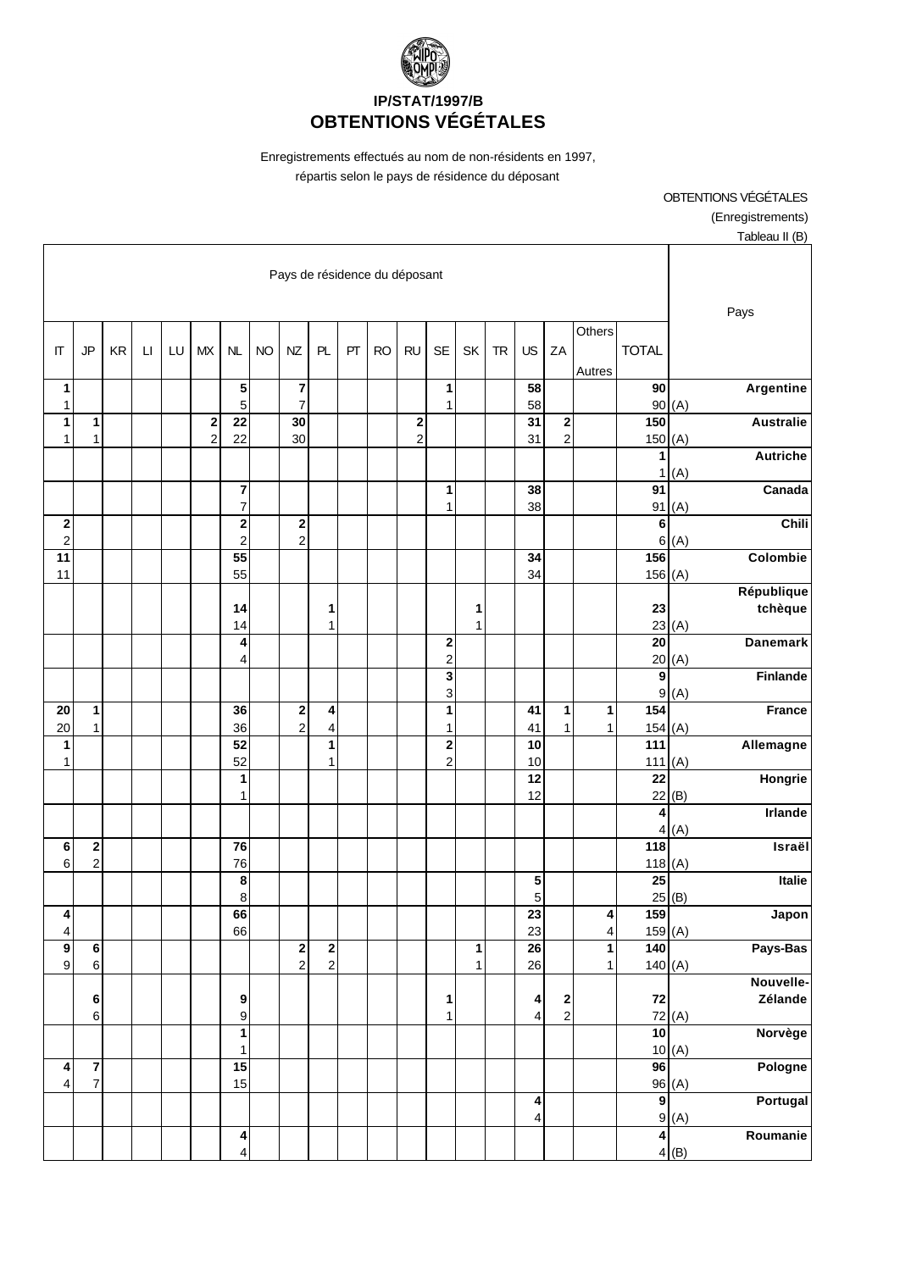

Enregistrements effectués au nom de non-résidents en 1997, répartis selon le pays de résidence du déposant

OBTENTIONS VÉGÉTALES (Enregistrements) Tableau II (B)

| Pays de résidence du déposant   |                                           |           |                        |    |                               |                                                    |           |                            |                                         |    |           |                            |                              |              |           |                                                    |                                          |                     |                           |                                |
|---------------------------------|-------------------------------------------|-----------|------------------------|----|-------------------------------|----------------------------------------------------|-----------|----------------------------|-----------------------------------------|----|-----------|----------------------------|------------------------------|--------------|-----------|----------------------------------------------------|------------------------------------------|---------------------|---------------------------|--------------------------------|
| IT                              | <b>JP</b>                                 | <b>KR</b> | $\mathsf{L}\mathsf{I}$ | LU | MX                            | NL                                                 | <b>NO</b> | NZ                         | PL                                      | PT | <b>RO</b> | <b>RU</b>                  | <b>SE</b>                    | SK           | <b>TR</b> | US                                                 | ZA                                       | Others<br>Autres    | <b>TOTAL</b>              | Pays                           |
| 1<br>1                          |                                           |           |                        |    |                               | 5<br>5                                             |           | 7<br>$\overline{7}$        |                                         |    |           |                            | 1<br>1                       |              |           | 58<br>58                                           |                                          |                     | 90<br>90                  | Argentine<br>(A)               |
| 1<br>$\mathbf{1}$               | 1<br>$\overline{1}$                       |           |                        |    | $\mathbf 2$<br>$\overline{c}$ | 22<br>22                                           |           | 30<br>30                   |                                         |    |           | $\bf{2}$<br>$\overline{c}$ |                              |              |           | 31<br>31                                           | 2<br>$\overline{a}$                      |                     | 150<br>150                | <b>Australie</b><br>(A)        |
|                                 |                                           |           |                        |    |                               |                                                    |           |                            |                                         |    |           |                            |                              |              |           |                                                    |                                          |                     | 1<br>1                    | <b>Autriche</b><br>(A)         |
|                                 |                                           |           |                        |    |                               | $\overline{\mathbf{r}}$<br>$\overline{7}$          |           |                            |                                         |    |           |                            | 1<br>1                       |              |           | 38<br>38                                           |                                          |                     | 91                        | Canada<br>91(A)                |
| 2<br>$\overline{c}$             |                                           |           |                        |    |                               | $\overline{\mathbf{c}}$<br>$\overline{c}$          |           | $\bf{2}$<br>$\overline{c}$ |                                         |    |           |                            |                              |              |           |                                                    |                                          |                     | 6<br>6                    | Chili<br>(A)                   |
| 11<br>11                        |                                           |           |                        |    |                               | 55<br>55                                           |           |                            |                                         |    |           |                            |                              |              |           | 34<br>34                                           |                                          |                     | 156<br>156(A)             | Colombie                       |
|                                 |                                           |           |                        |    |                               | 14<br>14                                           |           |                            | 1<br>1                                  |    |           |                            |                              | 1<br>1       |           |                                                    |                                          |                     | 23                        | République<br>tchèque<br>23(A) |
|                                 |                                           |           |                        |    |                               | 4<br>4                                             |           |                            |                                         |    |           |                            | $\bf{2}$<br>$\overline{c}$   |              |           |                                                    |                                          |                     | $\overline{20}$<br>20     | <b>Danemark</b><br>(A)         |
|                                 |                                           |           |                        |    |                               |                                                    |           |                            |                                         |    |           |                            | $\overline{\mathbf{3}}$<br>3 |              |           |                                                    |                                          |                     | 9                         | Finlande                       |
| 20                              | 1                                         |           |                        |    |                               | 36                                                 |           | $\bf{2}$<br>$\overline{2}$ | 4                                       |    |           |                            | 1                            |              |           | 41                                                 | 1                                        | $\mathbf{1}$        | $\frac{1}{154}$           | 9(A)<br><b>France</b>          |
| 20<br>1                         | $\mathbf{1}$                              |           |                        |    |                               | 36<br>$\overline{52}$                              |           |                            | $\overline{\mathbf{4}}$<br>$\mathbf{1}$ |    |           |                            | 1<br>$\bf 2$                 |              |           | 41<br>10                                           | 1                                        | $\mathbf{1}$        | 154(A)<br>$\frac{1}{111}$ | Allemagne                      |
| 1                               |                                           |           |                        |    |                               | 52<br>1                                            |           |                            | 1                                       |    |           |                            | $\overline{\mathbf{c}}$      |              |           | 10<br>12                                           |                                          |                     | 111(A)<br>22              | Hongrie                        |
|                                 |                                           |           |                        |    |                               | 1                                                  |           |                            |                                         |    |           |                            |                              |              |           | 12                                                 |                                          |                     | 22<br>4                   | (B)<br><b>Irlande</b>          |
| 6                               | $\bf{2}$                                  |           |                        |    |                               | 76                                                 |           |                            |                                         |    |           |                            |                              |              |           |                                                    |                                          |                     | $\overline{4}$<br>118     | (A)<br>Israël                  |
| 6                               | $\overline{c}$                            |           |                        |    |                               | 76<br>8                                            |           |                            |                                         |    |           |                            |                              |              |           | 5                                                  |                                          |                     | 118(A)<br>$\overline{25}$ | Italie                         |
| 4                               |                                           |           |                        |    |                               | 8<br>66                                            |           |                            |                                         |    |           |                            |                              |              |           | 5<br>$\overline{23}$                               |                                          | $\vert$             | 159                       | $25$ <sup>(B)</sup><br>Japon   |
| $\overline{4}$<br>$\frac{9}{9}$ | $\bf 6$                                   |           |                        |    |                               | 66                                                 |           | $\boldsymbol{2}$           | $\frac{2}{2}$                           |    |           |                            |                              | 1            |           | 23<br>26                                           |                                          | 4<br>$\overline{1}$ | 159(A)<br>$\frac{1}{140}$ | Pays-Bas                       |
|                                 | $\,6\,$                                   |           |                        |    |                               |                                                    |           | $\overline{2}$             |                                         |    |           |                            |                              | $\mathbf{1}$ |           | 26                                                 |                                          | 1                   | 140(A)                    | Nouvelle-                      |
|                                 | $\bf 6$<br>6                              |           |                        |    |                               | 9<br>9                                             |           |                            |                                         |    |           |                            | 1<br>1                       |              |           | 4<br>$\overline{4}$                                | $\begin{array}{c} \n2 \\ 2\n\end{array}$ |                     | ${\bf 72}$                | Zélande<br>72(A)               |
|                                 |                                           |           |                        |    |                               | $\mathbf{1}$<br>1                                  |           |                            |                                         |    |           |                            |                              |              |           |                                                    |                                          |                     | $\overline{10}$           | Norvège<br>10(A)               |
| 4<br>$\overline{\mathbf{4}}$    | $\overline{\mathbf{7}}$<br>$\overline{7}$ |           |                        |    |                               | 15<br>15                                           |           |                            |                                         |    |           |                            |                              |              |           |                                                    |                                          |                     | 96                        | Pologne<br>96(A)               |
|                                 |                                           |           |                        |    |                               |                                                    |           |                            |                                         |    |           |                            |                              |              |           | $\overline{\mathbf{4}}$<br>$\overline{\mathbf{4}}$ |                                          |                     | $\overline{9}$            | Portugal<br>9(A)               |
|                                 |                                           |           |                        |    |                               | $\overline{\mathbf{4}}$<br>$\overline{\mathbf{4}}$ |           |                            |                                         |    |           |                            |                              |              |           |                                                    |                                          |                     | $\blacktriangle$          | Roumanie<br>4(B)               |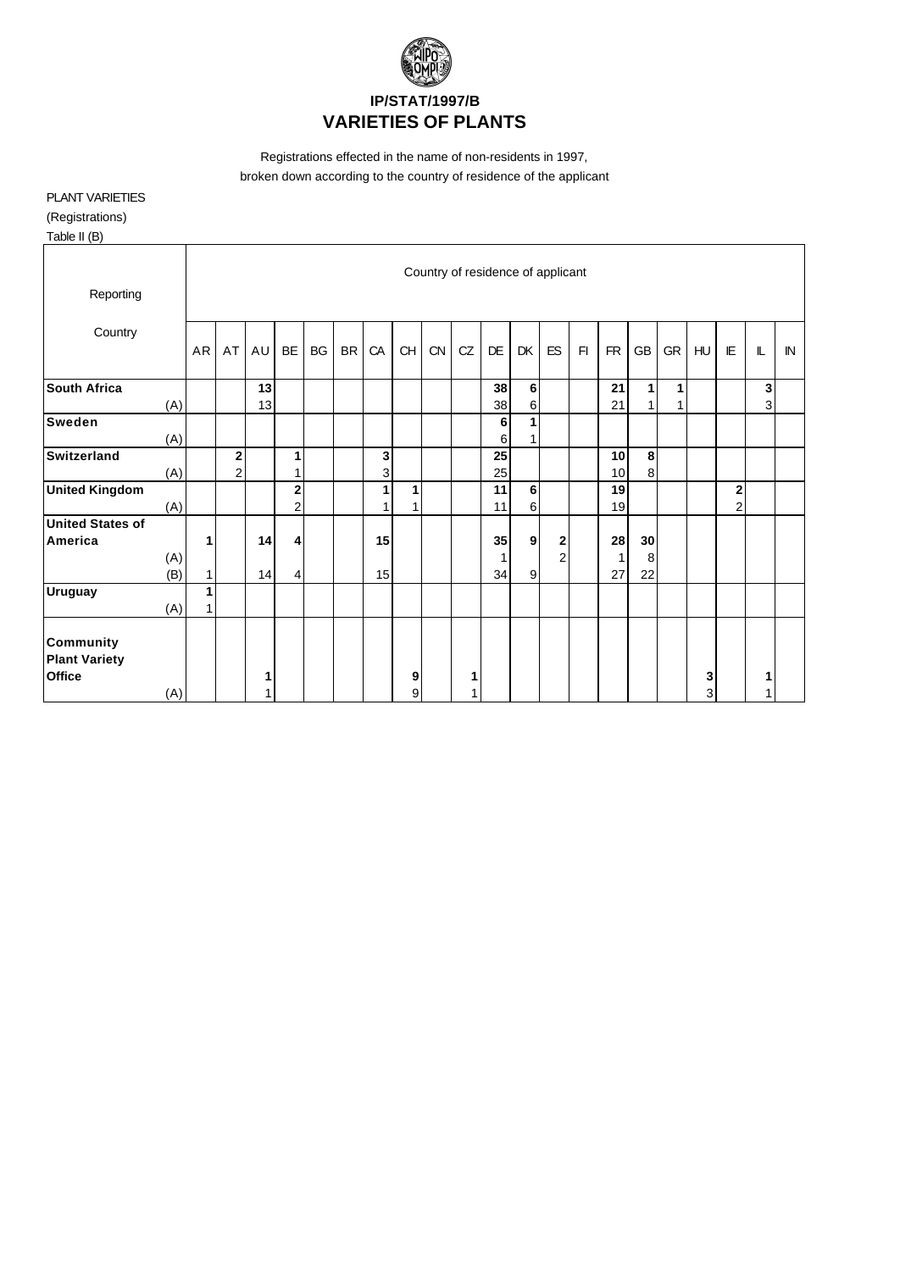

Registrations effected in the name of non-residents in 1997, broken down according to the country of residence of the applicant

## PLANT VARIETIES

(Registrations)

| Table II (B) |  |
|--------------|--|
|--------------|--|

| Reporting                                                 |     | Country of residence of applicant |                               |    |                  |    |           |        |           |    |    |           |                  |                |    |           |             |    |        |                               |   |    |
|-----------------------------------------------------------|-----|-----------------------------------|-------------------------------|----|------------------|----|-----------|--------|-----------|----|----|-----------|------------------|----------------|----|-----------|-------------|----|--------|-------------------------------|---|----|
|                                                           |     |                                   |                               |    |                  |    |           |        |           |    |    |           |                  |                |    |           |             |    |        |                               |   |    |
| Country                                                   |     |                                   | AT                            |    |                  |    |           |        |           |    | CZ | <b>DE</b> |                  | <b>ES</b>      | F1 | <b>FR</b> |             |    |        | IE                            |   | IN |
|                                                           |     | AR                                |                               | AU | BE               | BG | <b>BR</b> | CA     | <b>CH</b> | CN |    |           | DK               |                |    |           | GB          | GR | HU     |                               | L |    |
| <b>South Africa</b>                                       |     |                                   |                               | 13 |                  |    |           |        |           |    |    | 38        | 6                |                |    | 21        | 1           | 1  |        |                               | 3 |    |
|                                                           | (A) |                                   |                               | 13 |                  |    |           |        |           |    |    | 38        | 6                |                |    | 21        | 1           | 1  |        |                               | 3 |    |
| <b>Sweden</b>                                             | (A) |                                   |                               |    |                  |    |           |        |           |    |    | 6<br>6    | 1<br>1           |                |    |           |             |    |        |                               |   |    |
| Switzerland                                               | (A) |                                   | $\mathbf 2$<br>$\overline{2}$ |    | 1                |    |           | 3<br>3 |           |    |    | 25<br>25  |                  |                |    | 10<br>10  | $\bf8$<br>8 |    |        |                               |   |    |
| <b>United Kingdom</b>                                     | (A) |                                   |                               |    | $\mathbf 2$<br>2 |    |           | 1      | 1<br>1    |    |    | 11<br>11  | 6<br>6           |                |    | 19<br>19  |             |    |        | $\mathbf 2$<br>$\overline{2}$ |   |    |
| <b>United States of</b>                                   |     |                                   |                               |    |                  |    |           |        |           |    |    |           |                  |                |    |           |             |    |        |                               |   |    |
| America                                                   |     | 1                                 |                               | 14 | 4                |    |           | 15     |           |    |    | 35        | $\boldsymbol{9}$ | 2              |    | 28        | 30          |    |        |                               |   |    |
|                                                           | (A) |                                   |                               |    |                  |    |           |        |           |    |    | 1         | 9                | $\overline{2}$ |    | 1<br>27   | 8           |    |        |                               |   |    |
|                                                           | (B) | $\mathbf{1}$<br>1                 |                               | 14 | 4                |    |           | 15     |           |    |    | 34        |                  |                |    |           | 22          |    |        |                               |   |    |
| <b>Uruguay</b>                                            | (A) | 1                                 |                               |    |                  |    |           |        |           |    |    |           |                  |                |    |           |             |    |        |                               |   |    |
| <b>Community</b><br><b>Plant Variety</b><br><b>Office</b> | (A) |                                   |                               |    |                  |    |           |        | 9<br>9    |    | 1  |           |                  |                |    |           |             |    | 3<br>3 |                               |   |    |